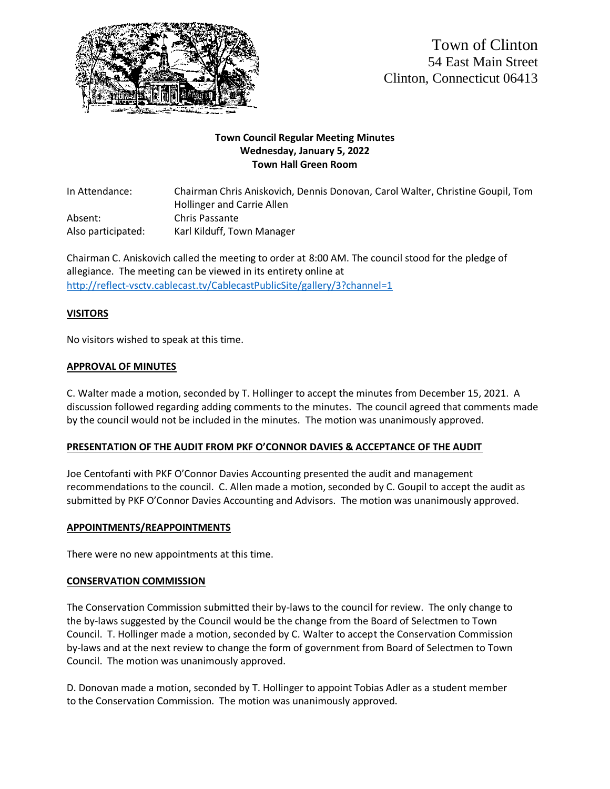

Town of Clinton 54 East Main Street Clinton, Connecticut 06413

# **Town Council Regular Meeting Minutes Wednesday, January 5, 2022 Town Hall Green Room**

In Attendance: Chairman Chris Aniskovich, Dennis Donovan, Carol Walter, Christine Goupil, Tom Hollinger and Carrie Allen Absent: Chris Passante Also participated: Karl Kilduff, Town Manager

Chairman C. Aniskovich called the meeting to order at 8:00 AM. The council stood for the pledge of allegiance. The meeting can be viewed in its entirety online at <http://reflect-vsctv.cablecast.tv/CablecastPublicSite/gallery/3?channel=1>

# **VISITORS**

No visitors wished to speak at this time.

### **APPROVAL OF MINUTES**

C. Walter made a motion, seconded by T. Hollinger to accept the minutes from December 15, 2021. A discussion followed regarding adding comments to the minutes. The council agreed that comments made by the council would not be included in the minutes. The motion was unanimously approved.

### **PRESENTATION OF THE AUDIT FROM PKF O'CONNOR DAVIES & ACCEPTANCE OF THE AUDIT**

Joe Centofanti with PKF O'Connor Davies Accounting presented the audit and management recommendations to the council. C. Allen made a motion, seconded by C. Goupil to accept the audit as submitted by PKF O'Connor Davies Accounting and Advisors. The motion was unanimously approved.

### **APPOINTMENTS/REAPPOINTMENTS**

There were no new appointments at this time.

### **CONSERVATION COMMISSION**

The Conservation Commission submitted their by-laws to the council for review. The only change to the by-laws suggested by the Council would be the change from the Board of Selectmen to Town Council. T. Hollinger made a motion, seconded by C. Walter to accept the Conservation Commission by-laws and at the next review to change the form of government from Board of Selectmen to Town Council. The motion was unanimously approved.

D. Donovan made a motion, seconded by T. Hollinger to appoint Tobias Adler as a student member to the Conservation Commission. The motion was unanimously approved.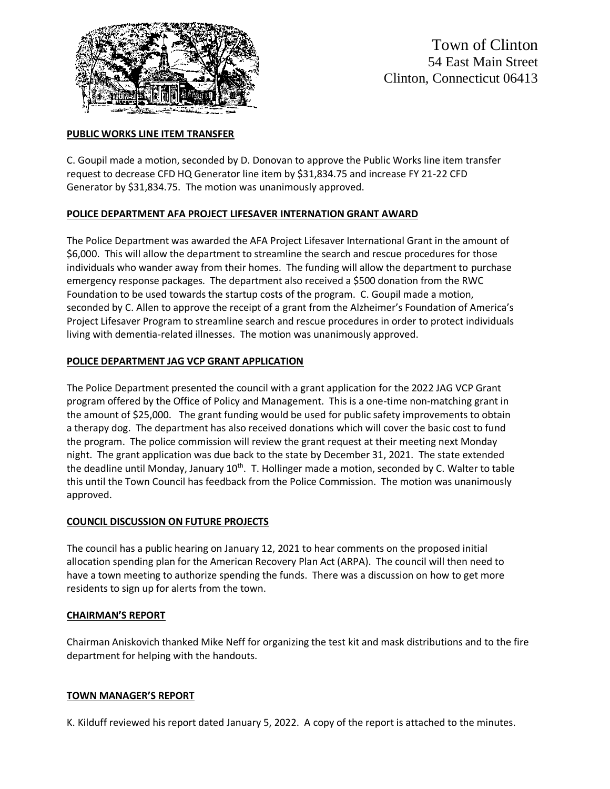

Town of Clinton 54 East Main Street Clinton, Connecticut 06413

# **PUBLIC WORKS LINE ITEM TRANSFER**

C. Goupil made a motion, seconded by D. Donovan to approve the Public Works line item transfer request to decrease CFD HQ Generator line item by \$31,834.75 and increase FY 21-22 CFD Generator by \$31,834.75. The motion was unanimously approved.

# **POLICE DEPARTMENT AFA PROJECT LIFESAVER INTERNATION GRANT AWARD**

The Police Department was awarded the AFA Project Lifesaver International Grant in the amount of \$6,000. This will allow the department to streamline the search and rescue procedures for those individuals who wander away from their homes. The funding will allow the department to purchase emergency response packages. The department also received a \$500 donation from the RWC Foundation to be used towards the startup costs of the program. C. Goupil made a motion, seconded by C. Allen to approve the receipt of a grant from the Alzheimer's Foundation of America's Project Lifesaver Program to streamline search and rescue procedures in order to protect individuals living with dementia-related illnesses. The motion was unanimously approved.

# **POLICE DEPARTMENT JAG VCP GRANT APPLICATION**

The Police Department presented the council with a grant application for the 2022 JAG VCP Grant program offered by the Office of Policy and Management. This is a one-time non-matching grant in the amount of \$25,000. The grant funding would be used for public safety improvements to obtain a therapy dog. The department has also received donations which will cover the basic cost to fund the program. The police commission will review the grant request at their meeting next Monday night. The grant application was due back to the state by December 31, 2021. The state extended the deadline until Monday, January 10<sup>th</sup>. T. Hollinger made a motion, seconded by C. Walter to table this until the Town Council has feedback from the Police Commission. The motion was unanimously approved.

### **COUNCIL DISCUSSION ON FUTURE PROJECTS**

The council has a public hearing on January 12, 2021 to hear comments on the proposed initial allocation spending plan for the American Recovery Plan Act (ARPA). The council will then need to have a town meeting to authorize spending the funds. There was a discussion on how to get more residents to sign up for alerts from the town.

### **CHAIRMAN'S REPORT**

Chairman Aniskovich thanked Mike Neff for organizing the test kit and mask distributions and to the fire department for helping with the handouts.

# **TOWN MANAGER'S REPORT**

K. Kilduff reviewed his report dated January 5, 2022. A copy of the report is attached to the minutes.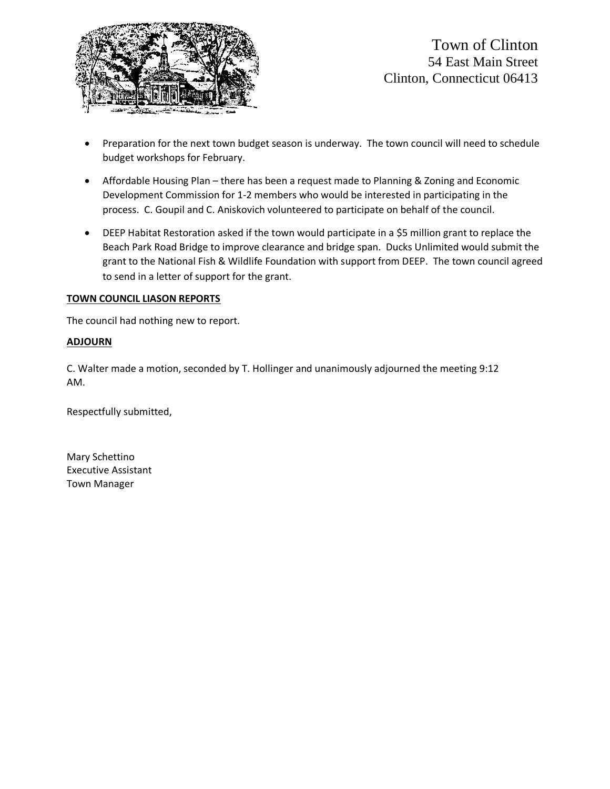

- Preparation for the next town budget season is underway. The town council will need to schedule budget workshops for February.
- Affordable Housing Plan there has been a request made to Planning & Zoning and Economic Development Commission for 1-2 members who would be interested in participating in the process. C. Goupil and C. Aniskovich volunteered to participate on behalf of the council.
- DEEP Habitat Restoration asked if the town would participate in a \$5 million grant to replace the Beach Park Road Bridge to improve clearance and bridge span. Ducks Unlimited would submit the grant to the National Fish & Wildlife Foundation with support from DEEP. The town council agreed to send in a letter of support for the grant.

# **TOWN COUNCIL LIASON REPORTS**

The council had nothing new to report.

# **ADJOURN**

C. Walter made a motion, seconded by T. Hollinger and unanimously adjourned the meeting 9:12 AM.

Respectfully submitted,

Mary Schettino Executive Assistant Town Manager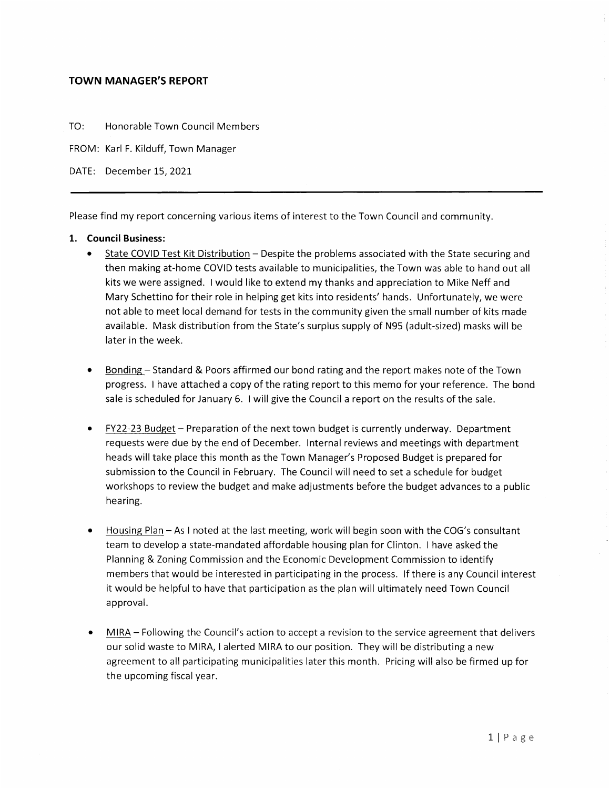### **TOWN MANAGER'S REPORT**

TO: Honorable Town Council Members

FROM: Karl F. Kilduff, Town Manager

DATE: December 15, 2021

Please find my report concerning various items of interest to the Town Council and community.

### 1. Council Business:

- State COVID Test Kit Distribution Despite the problems associated with the State securing and then making at-home COVID tests available to municipalities, the Town was able to hand out all kits we were assigned. I would like to extend my thanks and appreciation to Mike Neff and Mary Schettino for their role in helping get kits into residents' hands. Unfortunately, we were not able to meet local demand for tests in the community given the small number of kits made available. Mask distribution from the State's surplus supply of N95 (adult-sized) masks will be later in the week.
- Bonding Standard & Poors affirmed our bond rating and the report makes note of the Town  $\bullet$ progress. I have attached a copy of the rating report to this memo for your reference. The bond sale is scheduled for January 6. I will give the Council a report on the results of the sale.
- FY22-23 Budget Preparation of the next town budget is currently underway. Department requests were due by the end of December. Internal reviews and meetings with department heads will take place this month as the Town Manager's Proposed Budget is prepared for submission to the Council in February. The Council will need to set a schedule for budget workshops to review the budget and make adjustments before the budget advances to a public hearing.
- Housing Plan As I noted at the last meeting, work will begin soon with the COG's consultant  $\bullet$ team to develop a state-mandated affordable housing plan for Clinton. I have asked the Planning & Zoning Commission and the Economic Development Commission to identify members that would be interested in participating in the process. If there is any Council interest it would be helpful to have that participation as the plan will ultimately need Town Council approval.
- MIRA Following the Council's action to accept a revision to the service agreement that delivers our solid waste to MIRA, I alerted MIRA to our position. They will be distributing a new agreement to all participating municipalities later this month. Pricing will also be firmed up for the upcoming fiscal year.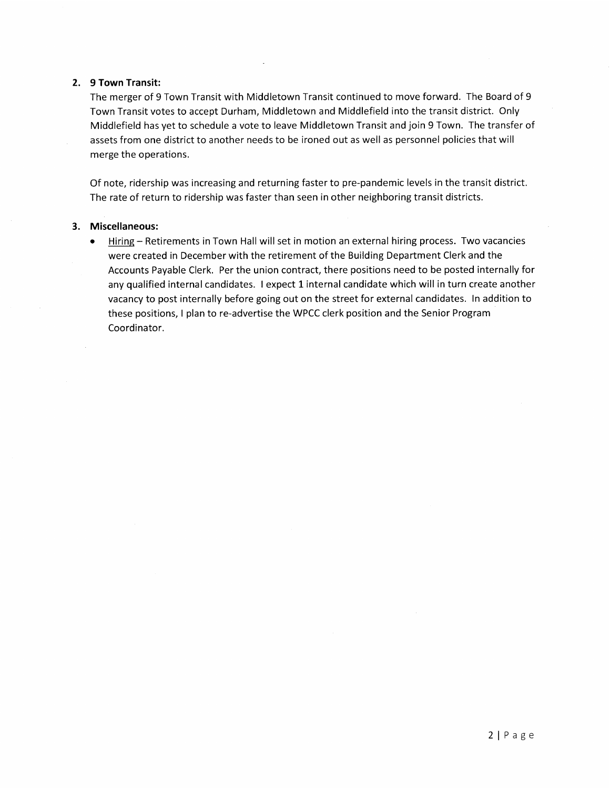### 2. 9 Town Transit:

The merger of 9 Town Transit with Middletown Transit continued to move forward. The Board of 9 Town Transit votes to accept Durham, Middletown and Middlefield into the transit district. Only Middlefield has yet to schedule a vote to leave Middletown Transit and join 9 Town. The transfer of assets from one district to another needs to be ironed out as well as personnel policies that will merge the operations.

Of note, ridership was increasing and returning faster to pre-pandemic levels in the transit district. The rate of return to ridership was faster than seen in other neighboring transit districts.

### 3. Miscellaneous:

Hiring - Retirements in Town Hall will set in motion an external hiring process. Two vacancies were created in December with the retirement of the Building Department Clerk and the Accounts Payable Clerk. Per the union contract, there positions need to be posted internally for any qualified internal candidates. I expect 1 internal candidate which will in turn create another vacancy to post internally before going out on the street for external candidates. In addition to these positions, I plan to re-advertise the WPCC clerk position and the Senior Program Coordinator.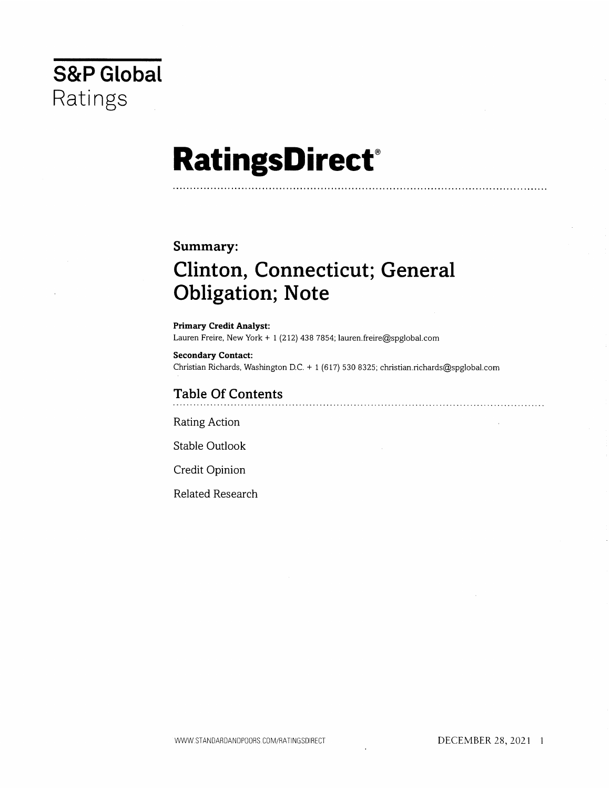**S&P Global** Ratings

# **RatingsDirect®**

# Summary:

# Clinton, Connecticut; General **Obligation; Note**

**Primary Credit Analyst:** Lauren Freire, New York + 1 (212) 438 7854; lauren.freire@spglobal.com

**Secondary Contact:** Christian Richards, Washington D.C. + 1 (617) 530 8325; christian.richards@spglobal.com

# **Table Of Contents**

**Rating Action** 

Stable Outlook

Credit Opinion

**Related Research**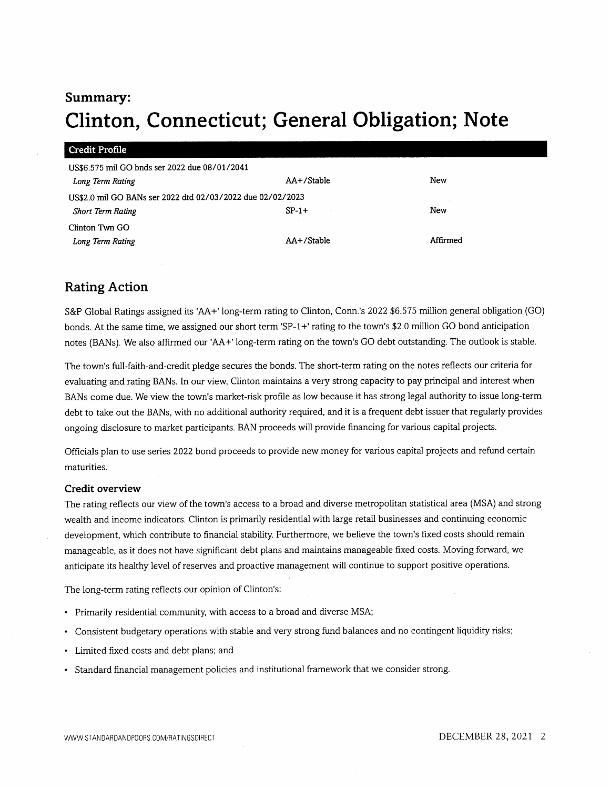# Summary: Clinton, Connecticut; General Obligation; Note

| <b>Credit Profile</b>                                      |            |          |
|------------------------------------------------------------|------------|----------|
| US\$6.575 mil GO bnds ser 2022 due 08/01/2041              |            |          |
| Long Term Rating                                           | AA+/Stable | New      |
| US\$2.0 mil GO BANs ser 2022 dtd 02/03/2022 due 02/02/2023 |            |          |
| <b>Short Term Rating</b>                                   | $SP-1+$    | New      |
| Clinton Twn GO                                             |            |          |
| Long Term Rating                                           | AA+/Stable | Affirmed |
|                                                            |            |          |

# **Rating Action**

S&P Global Ratings assigned its 'AA+' long-term rating to Clinton, Conn.'s 2022 \$6.575 million general obligation (GO) bonds. At the same time, we assigned our short term 'SP-1+' rating to the town's \$2.0 million GO bond anticipation notes (BANs). We also affirmed our 'AA+' long-term rating on the town's GO debt outstanding. The outlook is stable.

The town's full-faith-and-credit pledge secures the bonds. The short-term rating on the notes reflects our criteria for evaluating and rating BANs. In our view, Clinton maintains a very strong capacity to pay principal and interest when BANs come due. We view the town's market-risk profile as low because it has strong legal authority to issue long-term debt to take out the BANs, with no additional authority required, and it is a frequent debt issuer that regularly provides ongoing disclosure to market participants. BAN proceeds will provide financing for various capital projects.

Officials plan to use series 2022 bond proceeds to provide new money for various capital projects and refund certain maturities.

### Credit overview

The rating reflects our view of the town's access to a broad and diverse metropolitan statistical area (MSA) and strong wealth and income indicators. Clinton is primarily residential with large retail businesses and continuing economic development, which contribute to financial stability. Furthermore, we believe the town's fixed costs should remain manageable, as it does not have significant debt plans and maintains manageable fixed costs. Moving forward, we anticipate its healthy level of reserves and proactive management will continue to support positive operations.

The long-term rating reflects our opinion of Clinton's:

- Primarily residential community, with access to a broad and diverse MSA;
- Consistent budgetary operations with stable and very strong fund balances and no contingent liquidity risks;
- Limited fixed costs and debt plans; and
- Standard financial management policies and institutional framework that we consider strong.

### DECEMBER 28, 2021 2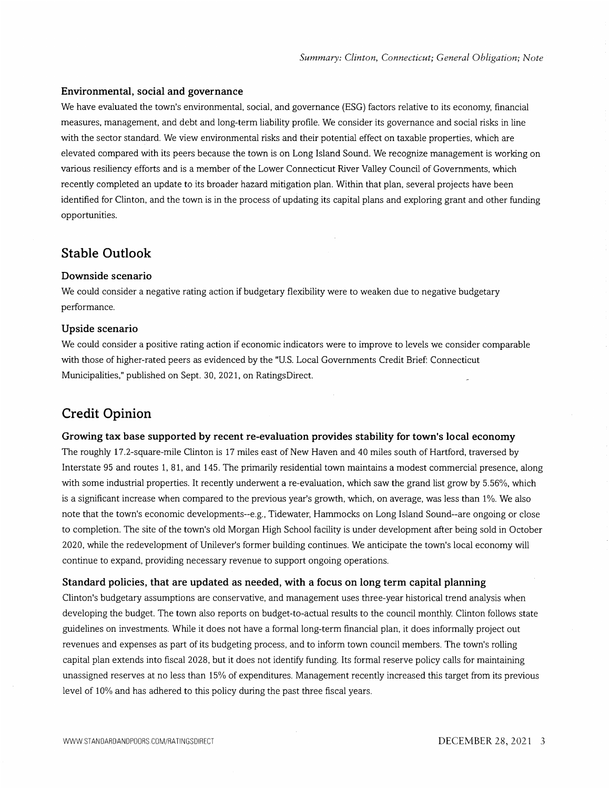### Environmental, social and governance

We have evaluated the town's environmental, social, and governance (ESG) factors relative to its economy, financial measures, management, and debt and long-term liability profile. We consider its governance and social risks in line with the sector standard. We view environmental risks and their potential effect on taxable properties, which are elevated compared with its peers because the town is on Long Island Sound. We recognize management is working on various resiliency efforts and is a member of the Lower Connecticut River Valley Council of Governments, which recently completed an update to its broader hazard mitigation plan. Within that plan, several projects have been identified for Clinton, and the town is in the process of updating its capital plans and exploring grant and other funding opportunities.

# **Stable Outlook**

### Downside scenario

We could consider a negative rating action if budgetary flexibility were to weaken due to negative budgetary performance.

### Upside scenario

We could consider a positive rating action if economic indicators were to improve to levels we consider comparable with those of higher-rated peers as evidenced by the "U.S. Local Governments Credit Brief: Connecticut Municipalities," published on Sept. 30, 2021, on RatingsDirect.

# **Credit Opinion**

### Growing tax base supported by recent re-evaluation provides stability for town's local economy

The roughly 17.2-square-mile Clinton is 17 miles east of New Haven and 40 miles south of Hartford, traversed by Interstate 95 and routes 1, 81, and 145. The primarily residential town maintains a modest commercial presence, along with some industrial properties. It recently underwent a re-evaluation, which saw the grand list grow by 5.56%, which is a significant increase when compared to the previous year's growth, which, on average, was less than 1%. We also note that the town's economic developments--e.g., Tidewater, Hammocks on Long Island Sound--are ongoing or close to completion. The site of the town's old Morgan High School facility is under development after being sold in October 2020, while the redevelopment of Unilever's former building continues. We anticipate the town's local economy will continue to expand, providing necessary revenue to support ongoing operations.

### Standard policies, that are updated as needed, with a focus on long term capital planning

Clinton's budgetary assumptions are conservative, and management uses three-year historical trend analysis when developing the budget. The town also reports on budget-to-actual results to the council monthly. Clinton follows state guidelines on investments. While it does not have a formal long-term financial plan, it does informally project out revenues and expenses as part of its budgeting process, and to inform town council members. The town's rolling capital plan extends into fiscal 2028, but it does not identify funding. Its formal reserve policy calls for maintaining unassigned reserves at no less than 15% of expenditures. Management recently increased this target from its previous level of 10% and has adhered to this policy during the past three fiscal years.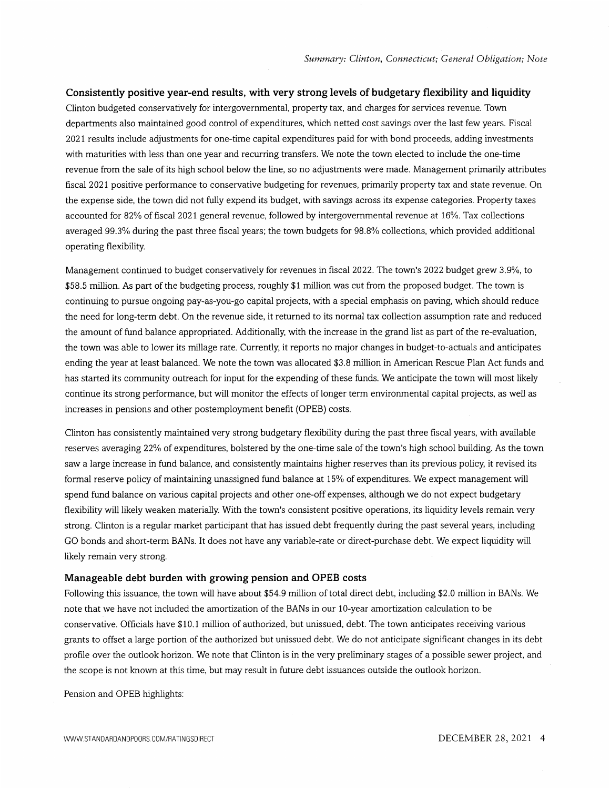### Consistently positive year-end results, with very strong levels of budgetary flexibility and liquidity

Clinton budgeted conservatively for intergovernmental, property tax, and charges for services revenue. Town departments also maintained good control of expenditures, which netted cost savings over the last few years. Fiscal 2021 results include adjustments for one-time capital expenditures paid for with bond proceeds, adding investments with maturities with less than one year and recurring transfers. We note the town elected to include the one-time revenue from the sale of its high school below the line, so no adjustments were made. Management primarily attributes fiscal 2021 positive performance to conservative budgeting for revenues, primarily property tax and state revenue. On the expense side, the town did not fully expend its budget, with savings across its expense categories. Property taxes accounted for 82% of fiscal 2021 general revenue, followed by intergovernmental revenue at 16%. Tax collections averaged 99.3% during the past three fiscal years; the town budgets for 98.8% collections, which provided additional operating flexibility.

Management continued to budget conservatively for revenues in fiscal 2022. The town's 2022 budget grew 3.9%, to \$58.5 million. As part of the budgeting process, roughly \$1 million was cut from the proposed budget. The town is continuing to pursue ongoing pay-as-you-go capital projects, with a special emphasis on paving, which should reduce the need for long-term debt. On the revenue side, it returned to its normal tax collection assumption rate and reduced the amount of fund balance appropriated. Additionally, with the increase in the grand list as part of the re-evaluation, the town was able to lower its millage rate. Currently, it reports no major changes in budget-to-actuals and anticipates ending the year at least balanced. We note the town was allocated \$3.8 million in American Rescue Plan Act funds and has started its community outreach for input for the expending of these funds. We anticipate the town will most likely continue its strong performance, but will monitor the effects of longer term environmental capital projects, as well as increases in pensions and other postemployment benefit (OPEB) costs.

Clinton has consistently maintained very strong budgetary flexibility during the past three fiscal years, with available reserves averaging 22% of expenditures, bolstered by the one-time sale of the town's high school building. As the town saw a large increase in fund balance, and consistently maintains higher reserves than its previous policy, it revised its formal reserve policy of maintaining unassigned fund balance at 15% of expenditures. We expect management will spend fund balance on various capital projects and other one-off expenses, although we do not expect budgetary flexibility will likely weaken materially. With the town's consistent positive operations, its liquidity levels remain very strong. Clinton is a regular market participant that has issued debt frequently during the past several years, including GO bonds and short-term BANs. It does not have any variable-rate or direct-purchase debt. We expect liquidity will likely remain very strong.

#### Manageable debt burden with growing pension and OPEB costs

Following this issuance, the town will have about \$54.9 million of total direct debt, including \$2.0 million in BANs. We note that we have not included the amortization of the BANs in our 10-year amortization calculation to be conservative. Officials have \$10.1 million of authorized, but unissued, debt. The town anticipates receiving various grants to offset a large portion of the authorized but unissued debt. We do not anticipate significant changes in its debt profile over the outlook horizon. We note that Clinton is in the very preliminary stages of a possible sewer project, and the scope is not known at this time, but may result in future debt issuances outside the outlook horizon.

Pension and OPEB highlights: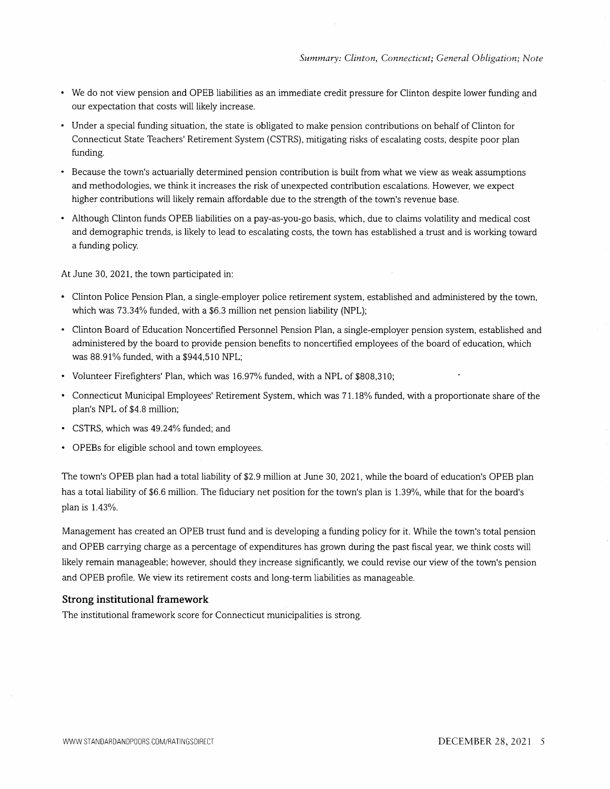- We do not view pension and OPEB liabilities as an immediate credit pressure for Clinton despite lower funding and our expectation that costs will likely increase.
- Under a special funding situation, the state is obligated to make pension contributions on behalf of Clinton for Connecticut State Teachers' Retirement System (CSTRS), mitigating risks of escalating costs, despite poor plan funding.
- Because the town's actuarially determined pension contribution is built from what we view as weak assumptions and methodologies, we think it increases the risk of unexpected contribution escalations. However, we expect higher contributions will likely remain affordable due to the strength of the town's revenue base.
- Although Clinton funds OPEB liabilities on a pay-as-you-go basis, which, due to claims volatility and medical cost and demographic trends, is likely to lead to escalating costs, the town has established a trust and is working toward a funding policy.

At June 30, 2021, the town participated in:

- Clinton Police Pension Plan, a single-employer police retirement system, established and administered by the town, which was 73.34% funded, with a \$6.3 million net pension liability (NPL);
- Clinton Board of Education Noncertified Personnel Pension Plan, a single-employer pension system, established and administered by the board to provide pension benefits to noncertified employees of the board of education, which was 88.91% funded, with a \$944,510 NPL;
- Volunteer Firefighters' Plan, which was 16.97% funded, with a NPL of \$808,310;
- Connecticut Municipal Employees' Retirement System, which was 71.18% funded, with a proportionate share of the plan's NPL of \$4.8 million;
- CSTRS, which was 49.24% funded; and
- OPEBs for eligible school and town employees.

The town's OPEB plan had a total liability of \$2.9 million at June 30, 2021, while the board of education's OPEB plan has a total liability of \$6.6 million. The fiduciary net position for the town's plan is 1.39%, while that for the board's plan is 1.43%.

Management has created an OPEB trust fund and is developing a funding policy for it. While the town's total pension and OPEB carrying charge as a percentage of expenditures has grown during the past fiscal year, we think costs will likely remain manageable; however, should they increase significantly, we could revise our view of the town's pension and OPEB profile. We view its retirement costs and long-term liabilities as manageable.

### Strong institutional framework

The institutional framework score for Connecticut municipalities is strong.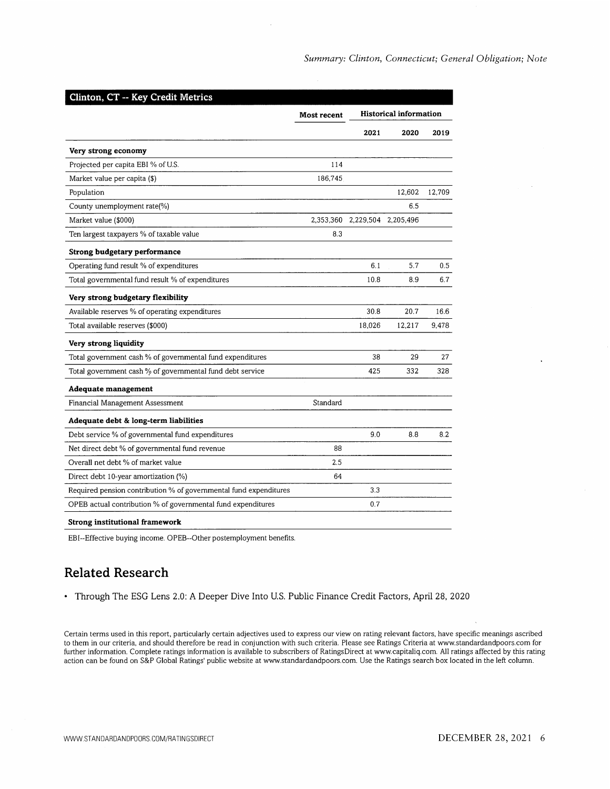|                                                                   | Most recent | <b>Historical information</b> |           |        |
|-------------------------------------------------------------------|-------------|-------------------------------|-----------|--------|
|                                                                   |             | 2021                          | 2020      | 2019   |
| Very strong economy                                               |             |                               |           |        |
| Projected per capita EBI % of U.S.                                | 114         |                               |           |        |
| Market value per capita (\$)                                      | 186,745     |                               |           |        |
| Population                                                        |             |                               | 12,602    | 12,709 |
| County unemployment rate(%)                                       |             |                               | 6.5       |        |
| Market value (\$000)                                              |             | 2,353,360 2,229,504           | 2,205,496 |        |
| Ten largest taxpayers % of taxable value                          | 8.3         |                               |           |        |
| <b>Strong budgetary performance</b>                               |             |                               |           |        |
| Operating fund result % of expenditures                           |             | 6.1                           | 5.7       | 0.5    |
| Total governmental fund result % of expenditures                  |             | 10.8                          | 8.9       | 6.7    |
| Very strong budgetary flexibility                                 |             |                               |           |        |
| Available reserves % of operating expenditures                    |             | 30.8                          | 20.7      | 16.6   |
| Total available reserves (\$000)                                  |             | 18,026                        | 12,217    | 9,478  |
| Very strong liquidity                                             |             |                               |           |        |
| Total government cash % of governmental fund expenditures         |             | 38                            | 29        | 27     |
| Total government cash % of governmental fund debt service         |             | 425                           | 332       | 328    |
| <b>Adequate management</b>                                        |             |                               |           |        |
| Financial Management Assessment                                   | Standard    |                               |           |        |
| Adequate debt & long-term liabilities                             |             |                               |           |        |
| Debt service % of governmental fund expenditures                  |             | 9.0                           | 8.8       | 8.2    |
| Net direct debt % of governmental fund revenue                    | 88          |                               |           |        |
| Overall net debt % of market value                                | 2.5         |                               |           |        |
| Direct debt 10-year amortization (%)                              | 64          |                               |           |        |
| Required pension contribution % of governmental fund expenditures |             | 3.3                           |           |        |
| OPEB actual contribution % of governmental fund expenditures      |             | 0.7                           |           |        |

EBI--Effective buying income. OPEB--Other postemployment benefits.

# **Related Research**

• Through The ESG Lens 2.0: A Deeper Dive Into U.S. Public Finance Credit Factors, April 28, 2020

Certain terms used in this report, particularly certain adjectives used to express our view on rating relevant factors, have specific meanings ascribed to them in our criteria, and should therefore be read in conjunction with such criteria. Please see Ratings Criteria at www.standardandpoors.com for further information. Complete ratings information is available to subscribers of RatingsDirect at www.capitaliq.com. All ratings affected by this rating action can be found on S&P Global Ratings' public website at www.standardandpoors.com. Use the Ratings search box located in the left column.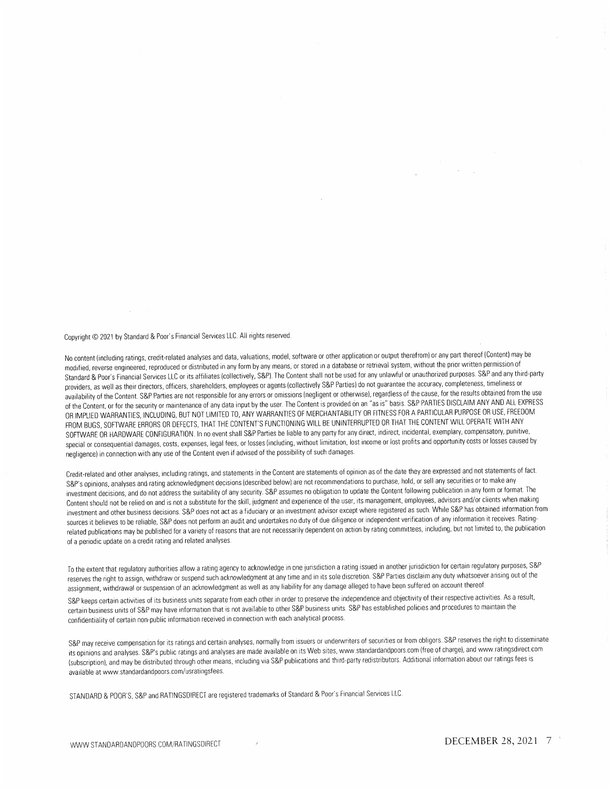Copyright © 2021 by Standard & Poor's Financial Services LLC. All rights reserved.

No content (including ratings, credit-related analyses and data, valuations, model, software or other application or output therefrom) or any part thereof (Content) may be modified, reverse engineered, reproduced or distributed in any form by any means, or stored in a database or retrieval system, without the prior written permission of Standard & Poor's Financial Services LLC or its affiliates (collectively, S&P). The Content shall not be used for any unlawful or unauthorized purposes. S&P and any third-party providers, as well as their directors, officers, shareholders, employees or agents (collectively S&P Parties) do not guarantee the accuracy, completeness, timeliness or availability of the Content. S&P Parties are not responsible for any errors or omissions (negligent or otherwise), regardless of the cause, for the results obtained from the use of the Content, or for the security or maintenance of any data input by the user. The Content is provided on an "as is" basis. S&P PARTIES DISCLAIM ANY AND ALL EXPRESS OR IMPLIED WARRANTIES, INCLUDING, BUT NOT LIMITED TO, ANY WARRANTIES OF MERCHANTABILITY OR FITNESS FOR A PARTICULAR PURPOSE OR USE, FREEDOM FROM BUGS, SOFTWARE ERRORS OR DEFECTS, THAT THE CONTENT'S FUNCTIONING WILL BE UNINTERRUPTED OR THAT THE CONTENT WILL OPERATE WITH ANY SOFTWARE OR HARDWARE CONFIGURATION. In no event shall S&P Parties be liable to any party for any direct, indirect, incidental, exemplary, compensatory, punitive, special or consequential damages, costs, expenses, legal fees, or losses (including, without limitation, lost income or lost profits and opportunity costs or losses caused by negligence) in connection with any use of the Content even if advised of the possibility of such damages.

Credit-related and other analyses, including ratings, and statements in the Content are statements of opinion as of the date they are expressed and not statements of fact. S&P's opinions, analyses and rating acknowledgment decisions (described below) are not recommendations to purchase, hold, or sell any securities or to make any investment decisions, and do not address the suitability of any security. S&P assumes no obligation to update the Content following publication in any form or format. The Content should not be relied on and is not a substitute for the skill, judgment and experience of the user, its management, employees, advisors and/or clients when making investment and other business decisions. S&P does not act as a fiduciary or an investment advisor except where registered as such. While S&P has obtained information from sources it believes to be reliable, S&P does not perform an audit and undertakes no duty of due diligence or independent verification of any information it receives. Ratingrelated publications may be published for a variety of reasons that are not necessarily dependent on action by rating committees, including, but not limited to, the publication of a periodic update on a credit rating and related analyses.

To the extent that regulatory authorities allow a rating agency to acknowledge in one jurisdiction a rating issued in another jurisdiction for certain regulatory purposes, S&P reserves the right to assign, withdraw or suspend such acknowledgment at any time and in its sole discretion. S&P Parties disclaim any duty whatsoever arising out of the assignment, withdrawal or suspension of an acknowledgment as well as any liability for any damage alleged to have been suffered on account thereof.

S&P keeps certain activities of its business units separate from each other in order to preserve the independence and objectivity of their respective activities. As a result, certain business units of S&P may have information that is not available to other S&P business units. S&P has established policies and procedures to maintain the confidentiality of certain non-public information received in connection with each analytical process.

S&P may receive compensation for its ratings and certain analyses, normally from issuers or underwriters of securities or from obligors. S&P reserves the right to disseminate its opinions and analyses. S&P's public ratings and analyses are made available on its Web sites, www.standardandpoors.com (free of charge), and www.ratingsdirect.com (subscription), and may be distributed through other means, including via S&P publications and third-party redistributors. Additional information about our ratings fees is available at www.standardandpoors.com/usratingsfees.

STANDARD & POOR'S, S&P and RATINGSDIRECT are registered trademarks of Standard & Poor's Financial Services LLC.